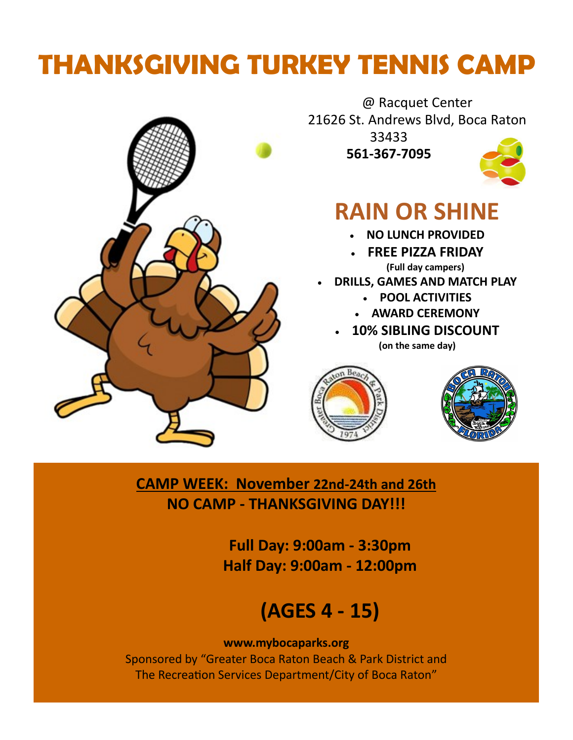# **THANKSGIVING TURKEY TENNIS CAMP**



@ Racquet Center 21626 St. Andrews Blvd, Boca Raton 33433

**561-367-7095** 



## **RAIN OR SHINE**

- **NO LUNCH PROVIDED**
- **FREE PIZZA FRIDAY (Full day campers)**
- **DRILLS, GAMES AND MATCH PLAY**
	- **POOL ACTIVITIES**
	- **AWARD CEREMONY**
	- **10% SIBLING DISCOUNT (on the same day)**





**CAMP WEEK: November 22nd-24th and 26th NO CAMP - THANKSGIVING DAY!!!** 

> **Full Day: 9:00am - 3:30pm Half Day: 9:00am - 12:00pm**

## **(AGES 4 - 15)**

#### **www.mybocaparks.org**

Sponsored by "Greater Boca Raton Beach & Park District and The Recreation Services Department/City of Boca Raton"